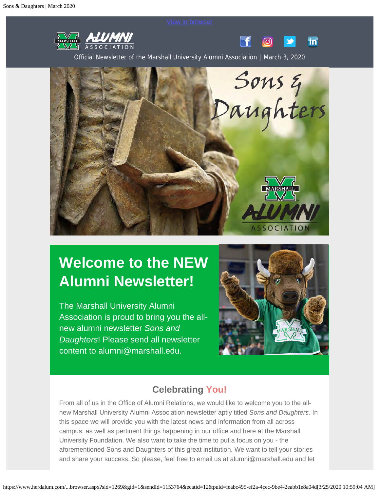

Official Newsletter of the Marshall University Alumni Association | March 3, 2020



# **Welcome to the NEW Alumni Newsletter!**

The Marshall University Alumni Association is proud to bring you the allnew alumni newsletter *Sons and Daughters*! Please send all newsletter content to alumni@marshall.edu.



in

രി

## **Celebrating You!**

From all of us in the Office of Alumni Relations, we would like to welcome you to the allnew Marshall University Alumni Association newsletter aptly titled *Sons and Daughters.* In this space we will provide you with the latest news and information from all across campus, as well as pertinent things happening in our office and here at the Marshall University Foundation. We also want to take the time to put a focus on you - the aforementioned Sons and Daughters of this great institution. We want to tell your stories and share your success. So please, feel free to email us at alumni@marshall.edu and let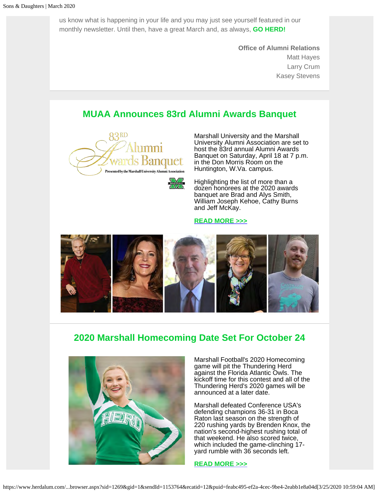us know what is happening in your life and you may just see yourself featured in our monthly newsletter. Until then, have a great March and, as always, **GO HERD!**

> **Office of Alumni Relations** Matt Hayes Larry Crum Kasey Stevens

### **MUAA Announces 83rd Alumni Awards Banquet**



University Alumni Association are set to host the 83rd annual Alumni Awards Banquet on Saturday, April 18 at 7 p.m. in the Don Morris Room on the Huntington, W.Va. campus.

Marshall University and the Marshall

Highlighting the list of more than a dozen honorees at the 2020 awards banquet are Brad and Alys Smith, William Joseph Kehoe, Cathy Burns and Jeff McKay.

#### **[READ MORE >>>](https://www.herdalum.com/redirect.aspx?linkID=3065826&sendId=1153764&eid=134203&gid=1)**



## **2020 Marshall Homecoming Date Set For October 24**



Marshall Football's 2020 Homecoming game will pit the Thundering Herd against the Florida Atlantic Owls. The kickoff time for this contest and all of the Thundering Herd's 2020 games will be announced at a later date.

Marshall defeated Conference USA's defending champions 36-31 in Boca Raton last season on the strength of 220 rushing yards by Brenden Knox, the nation's second-highest rushing total of that weekend. He also scored twice, which included the game-clinching 17 yard rumble with 36 seconds left.

#### **[READ MORE >>>](https://www.herdalum.com/redirect.aspx?linkID=3065825&sendId=1153764&eid=134203&gid=1)**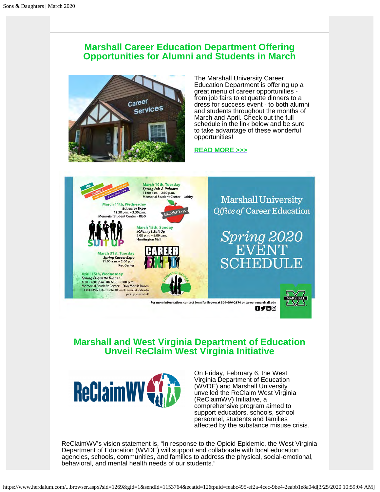## **Marshall Career Education Department Offering Opportunities for Alumni and Students in March**



The Marshall University Career Education Department is offering up a great menu of career opportunities from job fairs to etiquette dinners to a dress for success event - to both alumni and students throughout the months of March and April. Check out the full schedule in the link below and be sure to take advantage of these wonderful opportunities!

#### **[READ MORE >>>](https://www.herdalum.com/redirect.aspx?linkID=3065824&sendId=1153764&eid=134203&gid=1)**



**uar**o

## **Marshall and West Virginia Department of Education Unveil ReClaim West Virginia Initiative**



On Friday, February 6, the West Virginia Department of Education (WVDE) and Marshall University unveiled the ReClaim West Virginia (ReClaimWV) Initiative, a comprehensive program aimed to support educators, schools, school personnel, students and families affected by the substance misuse crisis.

ReClaimWV's vision statement is, "In response to the Opioid Epidemic, the West Virginia Department of Education (WVDE) will support and collaborate with local education agencies, schools, communities, and families to address the physical, social-emotional, behavioral, and mental health needs of our students."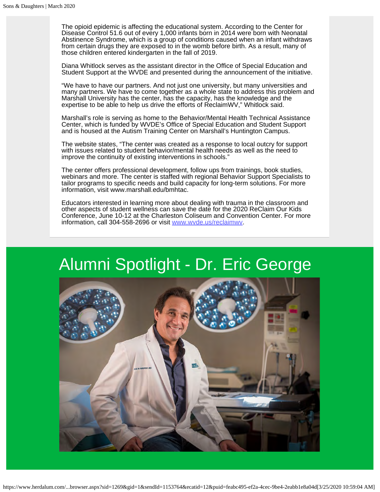The opioid epidemic is affecting the educational system. According to the Center for Disease Control 51.6 out of every 1,000 infants born in 2014 were born with Neonatal Abstinence Syndrome, which is a group of conditions caused when an infant withdraws from certain drugs they are exposed to in the womb before birth. As a result, many of those children entered kindergarten in the fall of 2019.

Diana Whitlock serves as the assistant director in the Office of Special Education and Student Support at the WVDE and presented during the announcement of the initiative.

"We have to have our partners. And not just one university, but many universities and many partners. We have to come together as a whole state to address this problem and Marshall University has the center, has the capacity, has the knowledge and the expertise to be able to help us drive the efforts of ReclaimWV," Whitlock said.

Marshall's role is serving as home to the Behavior/Mental Health Technical Assistance Center, which is funded by WVDE's Office of Special Education and Student Support and is housed at the Autism Training Center on Marshall's Huntington Campus.

The website states, "The center was created as a response to local outcry for support with issues related to student behavior/mental health needs as well as the need to improve the continuity of existing interventions in schools."

The center offers professional development, follow ups from trainings, book studies, webinars and more. The center is staffed with regional Behavior Support Specialists to tailor programs to specific needs and build capacity for long-term solutions. For more information, visit www.marshall.edu/bmhtac.

Educators interested in learning more about dealing with trauma in the classroom and other aspects of student wellness can save the date for the 2020 ReClaim Our Kids Conference, June 10-12 at the Charleston Coliseum and Convention Center. For more information, call 304-558-2696 or visit [www.wvde.us/reclaimwv](https://www.herdalum.com/redirect.aspx?linkID=3065823&sendId=1153764&eid=134203&gid=1).

# Alumni Spotlight - Dr. Eric George

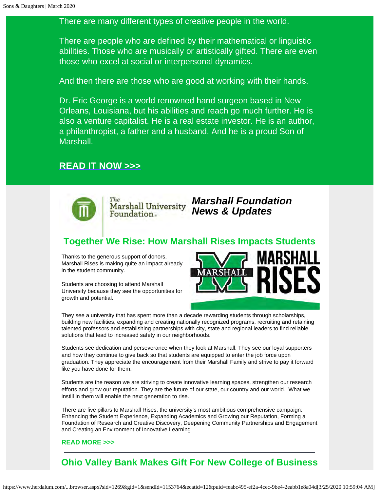#### There are many different types of creative people in the world.

There are people who are defined by their mathematical or linguistic abilities. Those who are musically or artistically gifted. There are even those who excel at social or interpersonal dynamics.

And then there are those who are good at working with their hands.

Dr. Eric George is a world renowned hand surgeon based in New Orleans, Louisiana, but his abilities and reach go much further. He is also a venture capitalist. He is a real estate investor. He is an author, a philanthropist, a father and a husband. And he is a proud Son of **Marshall** 

#### **[READ IT NOW >>>](https://www.herdalum.com/redirect.aspx?linkID=3065822&sendId=1153764&eid=134203&gid=1)**



## *Marshall Foundation News & Updates*

## **Together We Rise: How Marshall Rises Impacts Students**

Thanks to the generous support of donors, Marshall Rises is making quite an impact already in the student community.

Students are choosing to attend Marshall University because they see the opportunities for growth and potential.



They see a university that has spent more than a decade rewarding students through scholarships, building new facilities, expanding and creating nationally recognized programs, recruiting and retaining talented professors and establishing partnerships with city, state and regional leaders to find reliable solutions that lead to increased safety in our neighborhoods.

Students see dedication and perseverance when they look at Marshall. They see our loyal supporters and how they continue to give back so that students are equipped to enter the job force upon graduation. They appreciate the encouragement from their Marshall Family and strive to pay it forward like you have done for them.

Students are the reason we are striving to create innovative learning spaces, strengthen our research efforts and grow our reputation. They are the future of our state, our country and our world. What we instill in them will enable the next generation to rise.

There are five pillars to Marshall Rises, the university's most ambitious comprehensive campaign: Enhancing the Student Experience, Expanding Academics and Growing our Reputation, Forming a Foundation of Research and Creative Discovery, Deepening Community Partnerships and Engagement and Creating an Environment of Innovative Learning.

#### **[READ MORE >>>](https://www.herdalum.com/redirect.aspx?linkID=3065813&sendId=1153764&eid=134203&gid=1)**

**Ohio Valley Bank Makes Gift For New College of Business**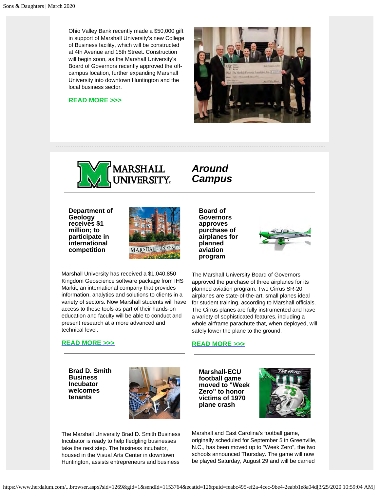Ohio Valley Bank recently made a \$50,000 gift in support of Marshall University's new College of Business facility, which will be constructed at 4th Avenue and 15th Street. Construction will begin soon, as the Marshall University's Board of Governors recently approved the offcampus location, further expanding Marshall University into downtown Huntington and the local business sector.

#### **[READ MORE >>>](https://www.herdalum.com/redirect.aspx?linkID=3065809&sendId=1153764&eid=134203&gid=1)**





**Department of Geology receives \$1 million; to participate in international competition**



Marshall University has received a \$1,040,850 Kingdom Geoscience software package from IHS Markit, an international company that provides information, analytics and solutions to clients in a variety of sectors. Now Marshall students will have access to these tools as part of their hands-on education and faculty will be able to conduct and present research at a more advanced and technical level.

The Marshall University Brad D. Smith Business Incubator is ready to help fledgling businesses take the next step. The business incubator, housed in the Visual Arts Center in downtown Huntington, assists entrepreneurs and business

#### **[READ MORE >>>](https://www.herdalum.com/redirect.aspx?linkID=3065805&sendId=1153764&eid=134203&gid=1)**

*Around Campus*

> **Board of Governors approves purchase of airplanes for planned aviation program**



The Marshall University Board of Governors approved the purchase of three airplanes for its planned aviation program. Two Cirrus SR-20 airplanes are state-of-the-art, small planes ideal for student training, according to Marshall officials. The Cirrus planes are fully instrumented and have a variety of sophisticated features, including a whole airframe parachute that, when deployed, will safely lower the plane to the ground.

#### **[READ MORE >>>](https://www.herdalum.com/redirect.aspx?linkID=3065801&sendId=1153764&eid=134203&gid=1)**

**Brad D. Smith Business Incubator welcomes tenants**



**Marshall-ECU football game moved to "Week Zero" to honor victims of 1970 plane crash**



Marshall and East Carolina's football game, originally scheduled for September 5 in Greenville, N.C., has been moved up to "Week Zero", the two schools announced Thursday. The game will now be played Saturday, August 29 and will be carried

https://www.herdalum.com/...browser.aspx?sid=1269&gid=1&sendId=1153764&ecatid=12&puid=feabc495-ef2a-4cec-9be4-2eabb1e8a04d[3/25/2020 10:59:04 AM]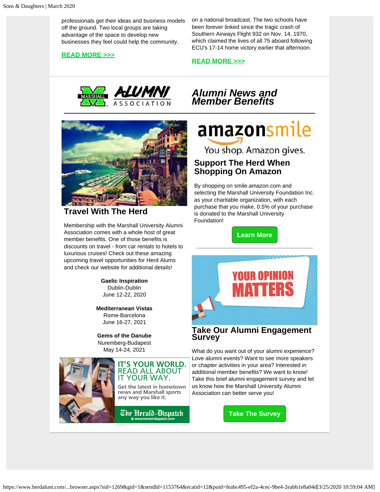professionals get their ideas and business models off the ground. Two local groups are taking advantage of the space to develop new businesses they feel could help the community.

#### **[READ MORE >>>](https://www.herdalum.com/redirect.aspx?linkID=3065803&sendId=1153764&eid=134203&gid=1)**

on a national broadcast. The two schools have been forever linked since the tragic crash of Southern Airways Flight 932 on Nov. 14, 1970, which claimed the lives of all 75 aboard following ECU's 17-14 home victory earlier that afternoon.

#### **[READ MORE >>>](https://www.herdalum.com/redirect.aspx?linkID=3065797&sendId=1153764&eid=134203&gid=1)**





#### **Travel With The Herd**

Membership with the Marshall University Alumni Association comes with a whole host of great member benefits. One of those benefits is discounts on travel - from car rentals to hotels to luxurious cruises! Check out these amazing upcoming travel opportunities for Herd Alums and check our website for additional details!

> **Gaelic Inspiration** Dublin-Dublin June 12-22, 2020

**Mediterranean Vistas** Rome-Barcelona June 16-27, 2021

**Gems of the Danube** Nuremberg-Budapest May 14-24, 2021



#### *Alumni News and Member Benefits*

# amazonsmile

You shop. Amazon gives.

#### **Support The Herd When Shopping On Amazon**

By shopping on smile.amazon.com and selecting the Marshall University Foundation Inc. as your charitable organization, with each purchase that you make, 0.5% of your purchase is donated to the Marshall University Foundation!

**[Learn More](https://www.herdalum.com/redirect.aspx?linkID=3065794&sendId=1153764&eid=134203&gid=1)**



#### **Take Our Alumni Engagement Survey**

What do you want out of your alumni experience? Love alumni events? Want to see more speakers or chapter activities in your area? Interested in additional member benefits? We want to know! Take this brief alumni engagement survey and let us know how the Marshall University Alumni Association can better serve you!

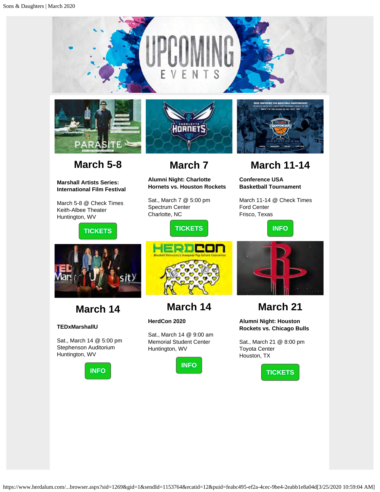





#### **Marshall Artists Series: International Film Festival**

March 5-8 @ Check Times Keith-Albee Theater Huntington, WV

#### **[TICKETS](https://www.herdalum.com/redirect.aspx?linkID=3065784&sendId=1153764&eid=134203&gid=1)**



## **March 7**

#### **Alumni Night: Charlotte Hornets vs. Houston Rockets**

Sat., March 7 @ 5:00 pm Spectrum Center Charlotte, NC





## **March 14**

#### **HerdCon 2020**

Sat., March 14 @ 9:00 am Memorial Student Center Huntington, WV



# **[INFO](https://www.herdalum.com/redirect.aspx?linkID=3065768&sendId=1153764&eid=134203&gid=1)**

**March 11-14**

March 11-14 @ Check Times

**Conference USA Basketball Tournament**

Ford Center Frisco, Texas

## **March 21**

**Alumni Night: Houston Rockets vs. Chicago Bulls**

Sat., March 21 @ 8:00 pm Toyota Center Houston, TX



https://www.herdalum.com/...browser.aspx?sid=1269&gid=1&sendId=1153764&ecatid=12&puid=feabc495-ef2a-4cec-9be4-2eabb1e8a04d[3/25/2020 10:59:04 AM]



# **March 14**

#### **TEDxMarshallU**

Sat., March 14 @ 5:00 pm Stephenson Auditorium Huntington, WV